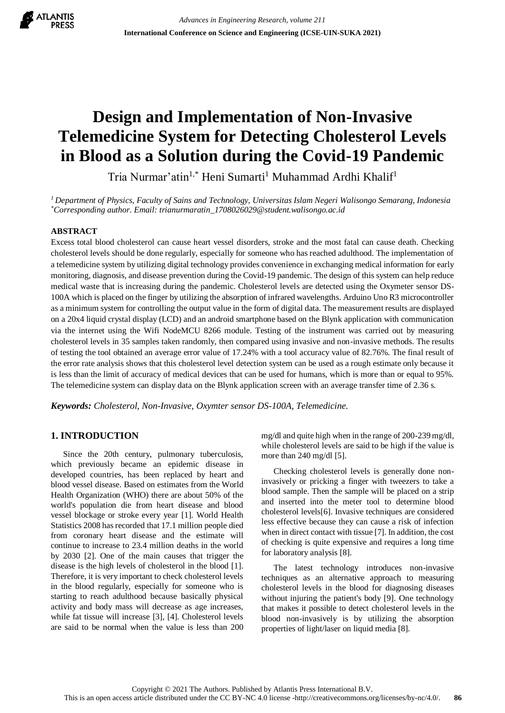

# **Design and Implementation of Non-Invasive Telemedicine System for Detecting Cholesterol Levels in Blood as a Solution during the Covid-19 Pandemic**

Tria Nurmar'atin<sup>1,\*</sup> Heni Sumarti<sup>1</sup> Muhammad Ardhi Khalif<sup>1</sup>

*<sup>1</sup>Department of Physics, Faculty of Sains and Technology, Universitas Islam Negeri Walisongo Semarang, Indonesia \*Corresponding author. Email: trianurmaratin\_1708026029@student.walisongo.ac.id*

#### **ABSTRACT**

Excess total blood cholesterol can cause heart vessel disorders, stroke and the most fatal can cause death. Checking cholesterol levels should be done regularly, especially for someone who has reached adulthood. The implementation of a telemedicine system by utilizing digital technology provides convenience in exchanging medical information for early monitoring, diagnosis, and disease prevention during the Covid-19 pandemic. The design of this system can help reduce medical waste that is increasing during the pandemic. Cholesterol levels are detected using the Oxymeter sensor DS-100A which is placed on the finger by utilizing the absorption of infrared wavelengths. Arduino Uno R3 microcontroller as a minimum system for controlling the output value in the form of digital data. The measurement results are displayed on a 20x4 liquid crystal display (LCD) and an android smartphone based on the Blynk application with communication via the internet using the Wifi NodeMCU 8266 module. Testing of the instrument was carried out by measuring cholesterol levels in 35 samples taken randomly, then compared using invasive and non-invasive methods. The results of testing the tool obtained an average error value of 17.24% with a tool accuracy value of 82.76%. The final result of the error rate analysis shows that this cholesterol level detection system can be used as a rough estimate only because it is less than the limit of accuracy of medical devices that can be used for humans, which is more than or equal to 95%. The telemedicine system can display data on the Blynk application screen with an average transfer time of 2.36 s.

*Keywords: Cholesterol, Non-Invasive, Oxymter sensor DS-100A, Telemedicine.*

# **1. INTRODUCTION**

Since the 20th century, pulmonary tuberculosis, which previously became an epidemic disease in developed countries, has been replaced by heart and blood vessel disease. Based on estimates from the World Health Organization (WHO) there are about 50% of the world's population die from heart disease and blood vessel blockage or stroke every year [1]. World Health Statistics 2008 has recorded that 17.1 million people died from coronary heart disease and the estimate will continue to increase to 23.4 million deaths in the world by 2030 [2]. One of the main causes that trigger the disease is the high levels of cholesterol in the blood [1]. Therefore, it is very important to check cholesterol levels in the blood regularly, especially for someone who is starting to reach adulthood because basically physical activity and body mass will decrease as age increases, while fat tissue will increase [3], [4]. Cholesterol levels are said to be normal when the value is less than 200 mg/dl and quite high when in the range of 200-239 mg/dl, while cholesterol levels are said to be high if the value is more than 240 mg/dl [5].

Checking cholesterol levels is generally done noninvasively or pricking a finger with tweezers to take a blood sample. Then the sample will be placed on a strip and inserted into the meter tool to determine blood cholesterol levels[6]. Invasive techniques are considered less effective because they can cause a risk of infection when in direct contact with tissue [7]. In addition, the cost of checking is quite expensive and requires a long time for laboratory analysis [8].

The latest technology introduces non-invasive techniques as an alternative approach to measuring cholesterol levels in the blood for diagnosing diseases without injuring the patient's body [9]. One technology that makes it possible to detect cholesterol levels in the blood non-invasively is by utilizing the absorption properties of light/laser on liquid media [8].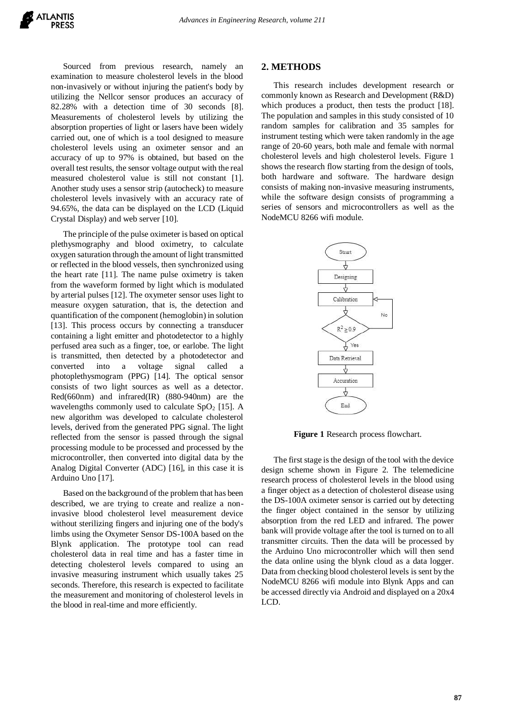Sourced from previous research, namely an examination to measure cholesterol levels in the blood non-invasively or without injuring the patient's body by utilizing the Nellcor sensor produces an accuracy of 82.28% with a detection time of 30 seconds [8]. Measurements of cholesterol levels by utilizing the absorption properties of light or lasers have been widely carried out, one of which is a tool designed to measure cholesterol levels using an oximeter sensor and an accuracy of up to 97% is obtained, but based on the overall test results, the sensor voltage output with the real measured cholesterol value is still not constant [1]. Another study uses a sensor strip (autocheck) to measure cholesterol levels invasively with an accuracy rate of 94.65%, the data can be displayed on the LCD (Liquid Crystal Display) and web server [10].

The principle of the pulse oximeter is based on optical plethysmography and blood oximetry, to calculate oxygen saturation through the amount of light transmitted or reflected in the blood vessels, then synchronized using the heart rate [11]. The name pulse oximetry is taken from the waveform formed by light which is modulated by arterial pulses [12]. The oxymeter sensor uses light to measure oxygen saturation, that is, the detection and quantification of the component (hemoglobin) in solution [13]. This process occurs by connecting a transducer containing a light emitter and photodetector to a highly perfused area such as a finger, toe, or earlobe. The light is transmitted, then detected by a photodetector and converted into a voltage signal called a photoplethysmogram (PPG) [14]. The optical sensor consists of two light sources as well as a detector. Red(660nm) and infrared(IR) (880-940nm) are the wavelengths commonly used to calculate  $SpO<sub>2</sub>$  [15]. A new algorithm was developed to calculate cholesterol levels, derived from the generated PPG signal. The light reflected from the sensor is passed through the signal processing module to be processed and processed by the microcontroller, then converted into digital data by the Analog Digital Converter (ADC) [16], in this case it is Arduino Uno [17].

Based on the background of the problem that has been described, we are trying to create and realize a noninvasive blood cholesterol level measurement device without sterilizing fingers and injuring one of the body's limbs using the Oxymeter Sensor DS-100A based on the Blynk application. The prototype tool can read cholesterol data in real time and has a faster time in detecting cholesterol levels compared to using an invasive measuring instrument which usually takes 25 seconds. Therefore, this research is expected to facilitate the measurement and monitoring of cholesterol levels in the blood in real-time and more efficiently.

#### **2. METHODS**

This research includes development research or commonly known as Research and Development (R&D) which produces a product, then tests the product [18]. The population and samples in this study consisted of 10 random samples for calibration and 35 samples for instrument testing which were taken randomly in the age range of 20-60 years, both male and female with normal cholesterol levels and high cholesterol levels. Figure 1 shows the research flow starting from the design of tools, both hardware and software. The hardware design consists of making non-invasive measuring instruments, while the software design consists of programming a series of sensors and microcontrollers as well as the NodeMCU 8266 wifi module.



**Figure 1** Research process flowchart.

The first stage is the design of the tool with the device design scheme shown in Figure 2. The telemedicine research process of cholesterol levels in the blood using a finger object as a detection of cholesterol disease using the DS-100A oximeter sensor is carried out by detecting the finger object contained in the sensor by utilizing absorption from the red LED and infrared. The power bank will provide voltage after the tool is turned on to all transmitter circuits. Then the data will be processed by the Arduino Uno microcontroller which will then send the data online using the blynk cloud as a data logger. Data from checking blood cholesterol levels is sent by the NodeMCU 8266 wifi module into Blynk Apps and can be accessed directly via Android and displayed on a 20x4 LCD.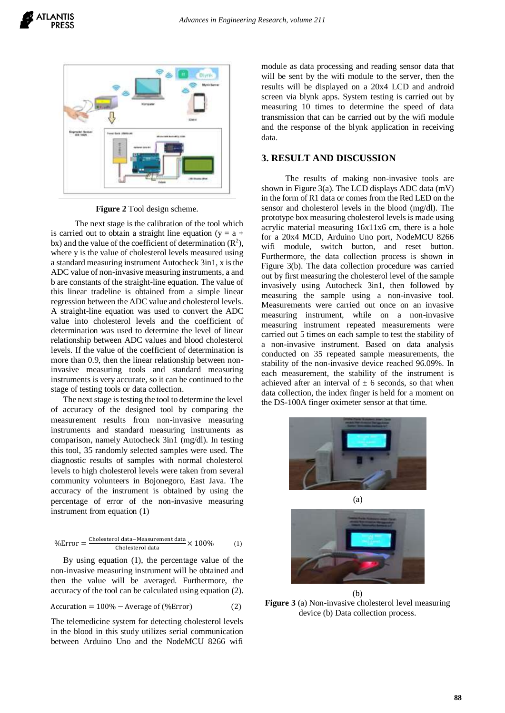

**Figure 2** Tool design scheme.

The next stage is the calibration of the tool which is carried out to obtain a straight line equation ( $y = a +$ bx) and the value of the coefficient of determination  $(R^2)$ , where y is the value of cholesterol levels measured using a standard measuring instrument Autocheck 3in1, x is the ADC value of non-invasive measuring instruments, a and b are constants of the straight-line equation. The value of this linear tradeline is obtained from a simple linear regression between the ADC value and cholesterol levels. A straight-line equation was used to convert the ADC value into cholesterol levels and the coefficient of determination was used to determine the level of linear relationship between ADC values and blood cholesterol levels. If the value of the coefficient of determination is more than 0.9, then the linear relationship between noninvasive measuring tools and standard measuring instruments is very accurate, so it can be continued to the stage of testing tools or data collection.

The next stage is testing the tool to determine the level of accuracy of the designed tool by comparing the measurement results from non-invasive measuring instruments and standard measuring instruments as comparison, namely Autocheck 3in1 (mg/dl). In testing this tool, 35 randomly selected samples were used. The diagnostic results of samples with normal cholesterol levels to high cholesterol levels were taken from several community volunteers in Bojonegoro, East Java. The accuracy of the instrument is obtained by using the percentage of error of the non-invasive measuring instrument from equation (1)

$$
\% Error = \frac{Cholesterol data - Measurement data}{Cholesterol data} \times 100\% \tag{1}
$$

By using equation (1), the percentage value of the non-invasive measuring instrument will be obtained and then the value will be averaged. Furthermore, the accuracy of the tool can be calculated using equation (2).

$$
Accuration = 100\% - Average of (\% Error)
$$
 (2)

The telemedicine system for detecting cholesterol levels in the blood in this study utilizes serial communication between Arduino Uno and the NodeMCU 8266 wifi

module as data processing and reading sensor data that will be sent by the wifi module to the server, then the results will be displayed on a 20x4 LCD and android screen via blynk apps. System testing is carried out by measuring 10 times to determine the speed of data transmission that can be carried out by the wifi module and the response of the blynk application in receiving data.

## **3. RESULT AND DISCUSSION**

The results of making non-invasive tools are shown in Figure 3(a). The LCD displays ADC data (mV) in the form of R1 data or comes from the Red LED on the sensor and cholesterol levels in the blood (mg/dl). The prototype box measuring cholesterol levels is made using acrylic material measuring 16x11x6 cm, there is a hole for a 20x4 MCD, Arduino Uno port, NodeMCU 8266 wifi module, switch button, and reset button. Furthermore, the data collection process is shown in Figure 3(b). The data collection procedure was carried out by first measuring the cholesterol level of the sample invasively using Autocheck 3in1, then followed by measuring the sample using a non-invasive tool. Measurements were carried out once on an invasive measuring instrument, while on a non-invasive measuring instrument repeated measurements were carried out 5 times on each sample to test the stability of a non-invasive instrument. Based on data analysis conducted on 35 repeated sample measurements, the stability of the non-invasive device reached 96.09%. In each measurement, the stability of the instrument is achieved after an interval of  $\pm$  6 seconds, so that when data collection, the index finger is held for a moment on the DS-100A finger oximeter sensor at that time.





(b) **Figure 3** (a) Non-invasive cholesterol level measuring device (b) Data collection process.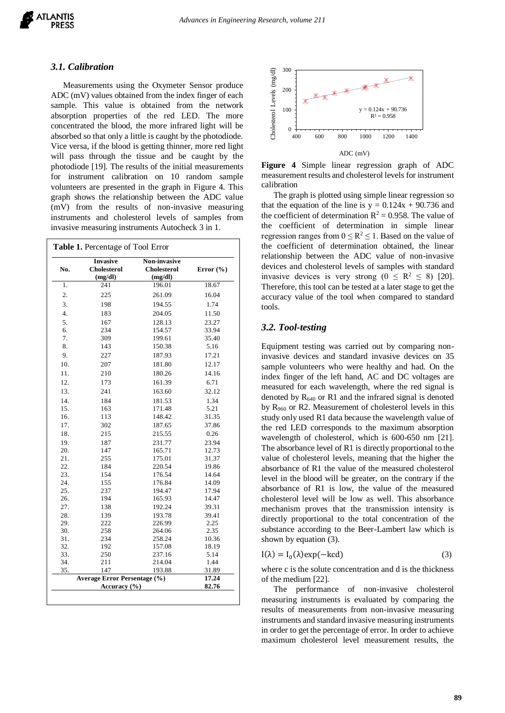#### *3.1. Calibration*

Measurements using the Oxymeter Sensor produce ADC (mV) values obtained from the index finger of each sample. This value is obtained from the network absorption properties of the red LED. The more concentrated the blood, the more infrared light will be absorbed so that only a little is caught by the photodiode. Vice versa, if the blood is getting thinner, more red light will pass through the tissue and be caught by the photodiode [19]. The results of the initial measurements for instrument calibration on 10 random sample volunteers are presented in the graph in Figure 4. This graph shows the relationship between the ADC value (mV) from the results of non-invasive measuring instruments and cholesterol levels of samples from invasive measuring instruments Autocheck 3 in 1.

| No.                                                     | <b>Invasive</b><br><b>Cholesterol</b><br>(mg/dl) | Non-invasive<br><b>Cholesterol</b><br>(mg/dl) | Error $(\% )$  |
|---------------------------------------------------------|--------------------------------------------------|-----------------------------------------------|----------------|
| 1.                                                      | 241                                              | 196.01                                        | 18.67          |
| 2.                                                      | 225                                              | 261.09                                        | 16.04          |
| 3.                                                      | 198                                              | 194.55                                        | 1.74           |
| 4.                                                      | 183                                              | 204.05                                        | 11.50          |
| 5.                                                      | 167                                              | 128.13                                        | 23.27          |
| 6.                                                      | 234                                              | 154.57                                        | 33.94          |
| 7.                                                      | 309                                              | 199.61                                        | 35.40          |
| 8.                                                      | 143                                              | 150.38                                        | 5.16           |
| 9.                                                      | 227                                              | 187.93                                        | 17.21          |
| 10.                                                     | 207                                              | 181.80                                        | 12.17          |
| 11.                                                     | 210                                              | 180.26                                        | 14.16          |
| 12.                                                     | 173                                              | 161.39                                        | 6.71           |
| 13.                                                     | 241                                              | 163.60                                        | 32.12          |
| 14.                                                     | 184                                              | 181.53                                        | 1.34           |
| 15.                                                     | 163                                              | 171.48                                        | 5.21           |
| 16.                                                     | 113                                              | 148.42                                        | 31.35          |
| 17.                                                     | 302                                              | 187.65                                        | 37.86          |
| 18.                                                     | 215                                              | 215.55                                        | 0.26           |
| 19.                                                     | 187                                              | 231.77                                        | 23.94          |
| 20.                                                     | 147                                              | 165.71                                        | 12.73          |
| 21.                                                     | 255                                              | 175.01                                        | 31.37          |
| 22.                                                     | 184                                              | 220.54                                        | 19.86          |
| 23.                                                     | 154                                              | 176.54                                        | 14.64          |
| 24.                                                     | 155                                              | 176.84                                        | 14.09          |
| 25.                                                     | 237                                              | 194.47                                        | 17.94          |
| 26.                                                     | 194                                              | 165.93                                        | 14.47          |
| 27.                                                     | 138                                              | 192.24                                        | 39.31          |
| 28.                                                     | 139                                              | 193.78                                        | 39.41          |
| 29.                                                     | 222                                              | 226.99                                        | 2.25           |
| 30.                                                     | 258                                              | 264.06                                        | 2.35           |
| 31.                                                     | 234                                              | 258.24                                        | 10.36          |
| 32.                                                     | 192                                              | 157.08                                        | 18.19          |
| 33.                                                     | 250                                              | 237.16                                        | 5.14           |
| 34.                                                     | 211                                              | 214.04                                        | 1.44           |
| 35.                                                     | 147                                              | 193.88                                        | 31.89<br>17.24 |
| <b>Average Error Persentage (%)</b><br>Accuracy $(\% )$ |                                                  |                                               | 82.76          |



**Figure 4** Simple linear regression graph of ADC measurement results and cholesterol levels for instrument calibration

The graph is plotted using simple linear regression so that the equation of the line is  $y = 0.124x + 90.736$  and the coefficient of determination  $R^2 = 0.958$ . The value of the coefficient of determination in simple linear regression ranges from  $0 \le R^2 \le 1$ . Based on the value of the coefficient of determination obtained, the linear relationship between the ADC value of non-invasive devices and cholesterol levels of samples with standard invasive devices is very strong  $(0 \le R^2 \le 8)$  [20]. Therefore, this tool can be tested at a later stage to get the accuracy value of the tool when compared to standard tools.

#### *3.2. Tool-testing*

Equipment testing was carried out by comparing noninvasive devices and standard invasive devices on 35 sample volunteers who were healthy and had. On the index finger of the left hand, AC and DC voltages are measured for each wavelength, where the red signal is denoted by  $R_{640}$  or R1 and the infrared signal is denoted by R<sup>960</sup> or R2. Measurement of cholesterol levels in this study only used R1 data because the wavelength value of the red LED corresponds to the maximum absorption wavelength of cholesterol, which is 600-650 nm [21]. The absorbance level of R1 is directly proportional to the value of cholesterol levels, meaning that the higher the absorbance of R1 the value of the measured cholesterol level in the blood will be greater, on the contrary if the absorbance of R1 is low, the value of the measured cholesterol level will be low as well. This absorbance mechanism proves that the transmission intensity is directly proportional to the total concentration of the substance according to the Beer-Lambert law which is shown by equation (3).

$$
I(\lambda) = I_0(\lambda) \exp(-kcd)
$$
 (3)

where c is the solute concentration and d is the thickness of the medium [22].

The performance of non-invasive cholesterol measuring instruments is evaluated by comparing the results of measurements from non-invasive measuring instruments and standard invasive measuring instruments in order to get the percentage of error. In order to achieve maximum cholesterol level measurement results, the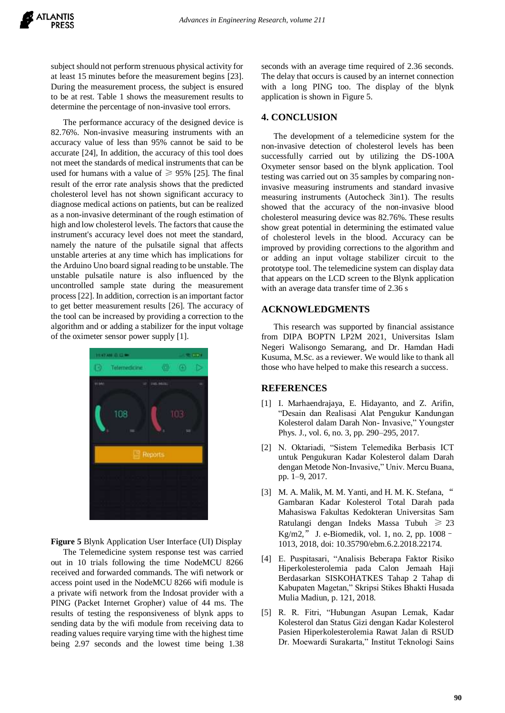subject should not perform strenuous physical activity for at least 15 minutes before the measurement begins [23]. During the measurement process, the subject is ensured to be at rest. Table 1 shows the measurement results to determine the percentage of non-invasive tool errors.

The performance accuracy of the designed device is 82.76%. Non-invasive measuring instruments with an accuracy value of less than 95% cannot be said to be accurate [24], In addition, the accuracy of this tool does not meet the standards of medical instruments that can be used for humans with a value of  $\geq 95\%$  [25]. The final result of the error rate analysis shows that the predicted cholesterol level has not shown significant accuracy to diagnose medical actions on patients, but can be realized as a non-invasive determinant of the rough estimation of high and low cholesterol levels. The factors that cause the instrument's accuracy level does not meet the standard, namely the nature of the pulsatile signal that affects unstable arteries at any time which has implications for the Arduino Uno board signal reading to be unstable. The unstable pulsatile nature is also influenced by the uncontrolled sample state during the measurement process [22]. In addition, correction is an important factor to get better measurement results [26]. The accuracy of the tool can be increased by providing a correction to the algorithm and or adding a stabilizer for the input voltage of the oximeter sensor power supply [1].



**Figure 5** Blynk Application User Interface (UI) Display

The Telemedicine system response test was carried out in 10 trials following the time NodeMCU 8266 received and forwarded commands. The wifi network or access point used in the NodeMCU 8266 wifi module is a private wifi network from the Indosat provider with a PING (Packet Internet Gropher) value of 44 ms. The results of testing the responsiveness of blynk apps to sending data by the wifi module from receiving data to reading values require varying time with the highest time being 2.97 seconds and the lowest time being 1.38 seconds with an average time required of 2.36 seconds. The delay that occurs is caused by an internet connection with a long PING too. The display of the blynk application is shown in Figure 5.

# **4. CONCLUSION**

The development of a telemedicine system for the non-invasive detection of cholesterol levels has been successfully carried out by utilizing the DS-100A Oxymeter sensor based on the blynk application. Tool testing was carried out on 35 samples by comparing noninvasive measuring instruments and standard invasive measuring instruments (Autocheck 3in1). The results showed that the accuracy of the non-invasive blood cholesterol measuring device was 82.76%. These results show great potential in determining the estimated value of cholesterol levels in the blood. Accuracy can be improved by providing corrections to the algorithm and or adding an input voltage stabilizer circuit to the prototype tool. The telemedicine system can display data that appears on the LCD screen to the Blynk application with an average data transfer time of 2.36 s

#### **ACKNOWLEDGMENTS**

This research was supported by financial assistance from DIPA BOPTN LP2M 2021, Universitas Islam Negeri Walisongo Semarang, and Dr. Hamdan Hadi Kusuma, M.Sc. as a reviewer. We would like to thank all those who have helped to make this research a success.

## **REFERENCES**

- [1] I. Marhaendrajaya, E. Hidayanto, and Z. Arifin, "Desain dan Realisasi Alat Pengukur Kandungan Kolesterol dalam Darah Non- Invasive," Youngster Phys. J., vol. 6, no. 3, pp. 290–295, 2017.
- [2] N. Oktariadi, "Sistem Telemedika Berbasis ICT untuk Pengukuran Kadar Kolesterol dalam Darah dengan Metode Non-Invasive," Univ. Mercu Buana, pp. 1–9, 2017.
- [3] M. A. Malik, M. M. Yanti, and H. M. K. Stefana, " Gambaran Kadar Kolesterol Total Darah pada Mahasiswa Fakultas Kedokteran Universitas Sam Ratulangi dengan Indeks Massa Tubuh ≥ 23 Kg/m2," J. e-Biomedik, vol. 1, no. 2, pp. 1008– 1013, 2018, doi: 10.35790/ebm.6.2.2018.22174.
- [4] E. Puspitasari, "Analisis Beberapa Faktor Risiko Hiperkolesterolemia pada Calon Jemaah Haji Berdasarkan SISKOHATKES Tahap 2 Tahap di Kabupaten Magetan," Skripsi Stikes Bhakti Husada Mulia Madiun, p. 121, 2018.
- [5] R. R. Fitri, "Hubungan Asupan Lemak, Kadar Kolesterol dan Status Gizi dengan Kadar Kolesterol Pasien Hiperkolesterolemia Rawat Jalan di RSUD Dr. Moewardi Surakarta," Institut Teknologi Sains